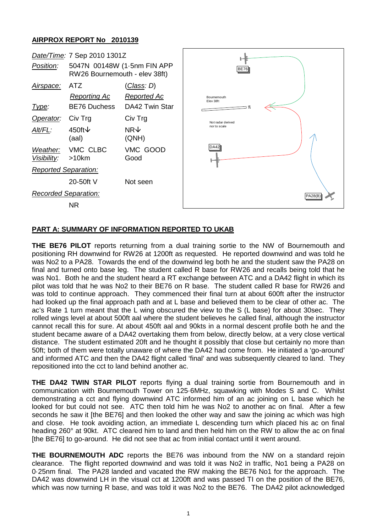## **AIRPROX REPORT No 2010139**



## **PART A: SUMMARY OF INFORMATION REPORTED TO UKAB**

**THE BE76 PILOT** reports returning from a dual training sortie to the NW of Bournemouth and positioning RH downwind for RW26 at 1200ft as requested. He reported downwind and was told he was No2 to a PA28. Towards the end of the downwind leg both he and the student saw the PA28 on final and turned onto base leg. The student called R base for RW26 and recalls being told that he was No1. Both he and the student heard a RT exchange between ATC and a DA42 flight in which its pilot was told that he was No2 to their BE76 on R base. The student called R base for RW26 and was told to continue approach. They commenced their final turn at about 600ft after the instructor had looked up the final approach path and at L base and believed them to be clear of other ac. The ac's Rate 1 turn meant that the L wing obscured the view to the S (L base) for about 30sec. They rolled wings level at about 500ft aal where the student believes he called final, although the instructor cannot recall this for sure. At about 450ft aal and 90kts in a normal descent profile both he and the student became aware of a DA42 overtaking them from below, directly below, at a very close vertical distance. The student estimated 20ft and he thought it possibly that close but certainly no more than 50ft; both of them were totally unaware of where the DA42 had come from. He initiated a 'go-around' and informed ATC and then the DA42 flight called 'final' and was subsequently cleared to land. They repositioned into the cct to land behind another ac.

**THE DA42 TWIN STAR PILOT** reports flying a dual training sortie from Bournemouth and in communication with Bournemouth Tower on 125·6MHz, squawking with Modes S and C. Whilst demonstrating a cct and flying downwind ATC informed him of an ac joining on L base which he looked for but could not see. ATC then told him he was No2 to another ac on final. After a few seconds he saw it [the BE76] and then looked the other way and saw the joining ac which was high and close. He took avoiding action, an immediate L descending turn which placed his ac on final heading 260° at 90kt. ATC cleared him to land and then held him on the RW to allow the ac on final [the BE76] to go-around. He did not see that ac from initial contact until it went around.

**THE BOURNEMOUTH ADC** reports the BE76 was inbound from the NW on a standard rejoin clearance. The flight reported downwind and was told it was No2 in traffic, No1 being a PA28 on 0·25nm final. The PA28 landed and vacated the RW making the BE76 No1 for the approach. The DA42 was downwind LH in the visual cct at 1200ft and was passed TI on the position of the BE76, which was now turning R base, and was told it was No2 to the BE76. The DA42 pilot acknowledged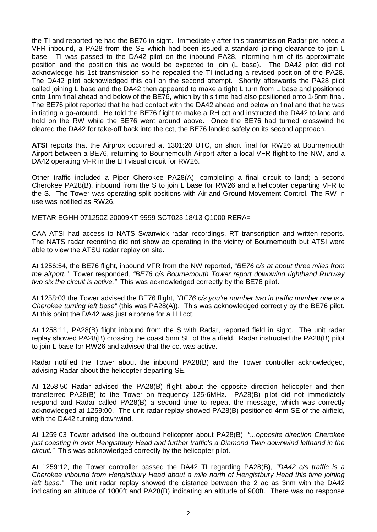the TI and reported he had the BE76 in sight. Immediately after this transmission Radar pre-noted a VFR inbound, a PA28 from the SE which had been issued a standard joining clearance to join L base. TI was passed to the DA42 pilot on the inbound PA28, informing him of its approximate position and the position this ac would be expected to join (L base). The DA42 pilot did not acknowledge his 1st transmission so he repeated the TI including a revised position of the PA28. The DA42 pilot acknowledged this call on the second attempt. Shortly afterwards the PA28 pilot called joining L base and the DA42 then appeared to make a tight L turn from L base and positioned onto 1nm final ahead and below of the BE76, which by this time had also positioned onto 1·5nm final. The BE76 pilot reported that he had contact with the DA42 ahead and below on final and that he was initiating a go-around. He told the BE76 flight to make a RH cct and instructed the DA42 to land and hold on the RW while the BE76 went around above. Once the BE76 had turned crosswind he cleared the DA42 for take-off back into the cct, the BE76 landed safely on its second approach.

**ATSI** reports that the Airprox occurred at 1301:20 UTC, on short final for RW26 at Bournemouth Airport between a BE76, returning to Bournemouth Airport after a local VFR flight to the NW, and a DA42 operating VFR in the LH visual circuit for RW26.

Other traffic included a Piper Cherokee PA28(A), completing a final circuit to land; a second Cherokee PA28(B), inbound from the S to join L base for RW26 and a helicopter departing VFR to the S. The Tower was operating split positions with Air and Ground Movement Control. The RW in use was notified as RW26.

METAR EGHH 071250Z 20009KT 9999 SCT023 18/13 Q1000 RERA=

CAA ATSI had access to NATS Swanwick radar recordings, RT transcription and written reports. The NATS radar recording did not show ac operating in the vicinty of Bournemouth but ATSI were able to view the ATSU radar replay on site.

At 1256:54, the BE76 flight, inbound VFR from the NW reported, "*BE76 c/s at about three miles from the airport."* Tower responded*, "BE76 c/s Bournemouth Tower report downwind righthand Runway two six the circuit is active."* This was acknowledged correctly by the BE76 pilot.

At 1258:03 the Tower advised the BE76 flight, *"BE76 c/s you're number two in traffic number one is a Cherokee turning left base"* (this was PA28(A)). This was acknowledged correctly by the BE76 pilot. At this point the DA42 was just airborne for a LH cct.

At 1258:11, PA28(B) flight inbound from the S with Radar, reported field in sight. The unit radar replay showed PA28(B) crossing the coast 5nm SE of the airfield. Radar instructed the PA28(B) pilot to join L base for RW26 and advised that the cct was active.

Radar notified the Tower about the inbound PA28(B) and the Tower controller acknowledged, advising Radar about the helicopter departing SE.

At 1258:50 Radar advised the PA28(B) flight about the opposite direction helicopter and then transferred PA28(B) to the Tower on frequency 125·6MHz. PA28(B) pilot did not immediately respond and Radar called PA28(B) a second time to repeat the message, which was correctly acknowledged at 1259:00. The unit radar replay showed PA28(B) positioned 4nm SE of the airfield, with the DA42 turning downwind.

At 1259:03 Tower advised the outbound helicopter about PA28(B), *"...opposite direction Cherokee just coasting in over Hengistbury Head and further traffic's a Diamond Twin downwind lefthand in the circuit."* This was acknowledged correctly by the helicopter pilot.

At 1259:12, the Tower controller passed the DA42 TI regarding PA28(B), *"DA42 c/s traffic is a Cherokee inbound from Hengistbury Head about a mile north of Hengistbury Head this time joining left base."* The unit radar replay showed the distance between the 2 ac as 3nm with the DA42 indicating an altitude of 1000ft and PA28(B) indicating an altitude of 900ft. There was no response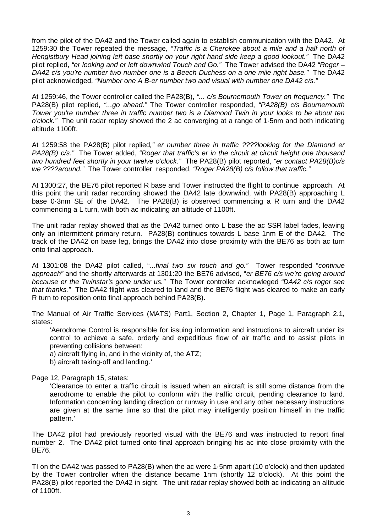from the pilot of the DA42 and the Tower called again to establish communication with the DA42. At 1259:30 the Tower repeated the message*, "Traffic is a Cherokee about a mile and a half north of Hengistbury Head joining left base shortly on your right hand side keep a good lookout."* The DA42 pilot replied, *"er looking and er left downwind Touch and Go."* The Tower advised the DA42 *"Roger – DA42 c/s you're number two number one is a Beech Duchess on a one mile right base."* The DA42 pilot acknowledged, *"Number one A B-er number two and visual with number one DA42 c/s."*

At 1259:46, the Tower controller called the PA28(B), *"... c/s Bournemouth Tower on frequency."* The PA28(B) pilot replied, *"...go ahead."* The Tower controller responded, *"PA28(B) c/s Bournemouth Tower you're number three in traffic number two is a Diamond Twin in your looks to be about ten o'clock."* The unit radar replay showed the 2 ac converging at a range of 1·5nm and both indicating altitude 1100ft.

At 1259:58 the PA28(B) pilot replied*," er number three in traffic ????looking for the Diamond er PA28(B) c/s."* The Tower added, *"Roger that traffic's er in the circuit at circuit height one thousand two hundred feet shortly in your twelve o'clock."* The PA28(B) pilot reported, *"er contact PA28(B)c/s we ????around."* The Tower controller responded, *"Roger PA28(B) c/s follow that traffic."*

At 1300:27, the BE76 pilot reported R base and Tower instructed the flight to continue approach. At this point the unit radar recording showed the DA42 late downwind, with PA28(B) approaching L base 0·3nm SE of the DA42. The PA28(B) is observed commencing a R turn and the DA42 commencing a L turn, with both ac indicating an altitude of 1100ft.

The unit radar replay showed that as the DA42 turned onto L base the ac SSR label fades, leaving only an intermittent primary return. PA28(B) continues towards L base 1nm E of the DA42. The track of the DA42 on base leg, brings the DA42 into close proximity with the BE76 as both ac turn onto final approach.

At 1301:08 the DA42 pilot called, "...*final two six touch and go."* Tower responded "*continue approach"* and the shortly afterwards at 1301:20 the BE76 advised, "*er BE76 c/s we're going around because er the Twinstar's gone under us."* The Tower controller acknowleged *"DA42 c/s roger see that thanks."* The DA42 flight was cleared to land and the BE76 flight was cleared to make an early R turn to reposition onto final approach behind PA28(B).

The Manual of Air Traffic Services (MATS) Part1, Section 2, Chapter 1, Page 1, Paragraph 2.1, states:

'Aerodrome Control is responsible for issuing information and instructions to aircraft under its control to achieve a safe, orderly and expeditious flow of air traffic and to assist pilots in preventing collisions between:

a) aircraft flying in, and in the vicinity of, the ATZ;

b) aircraft taking-off and landing.'

Page 12, Paragraph 15, states:

'Clearance to enter a traffic circuit is issued when an aircraft is still some distance from the aerodrome to enable the pilot to conform with the traffic circuit, pending clearance to land. Information concerning landing direction or runway in use and any other necessary instructions are given at the same time so that the pilot may intelligently position himself in the traffic pattern.'

The DA42 pilot had previously reported visual with the BE76 and was instructed to report final number 2. The DA42 pilot turned onto final approach bringing his ac into close proximity with the BE76.

TI on the DA42 was passed to PA28(B) when the ac were 1·5nm apart (10 o'clock) and then updated by the Tower controller when the distance became 1nm (shortly 12 o'clock). At this point the PA28(B) pilot reported the DA42 in sight. The unit radar replay showed both ac indicating an altitude of 1100ft.